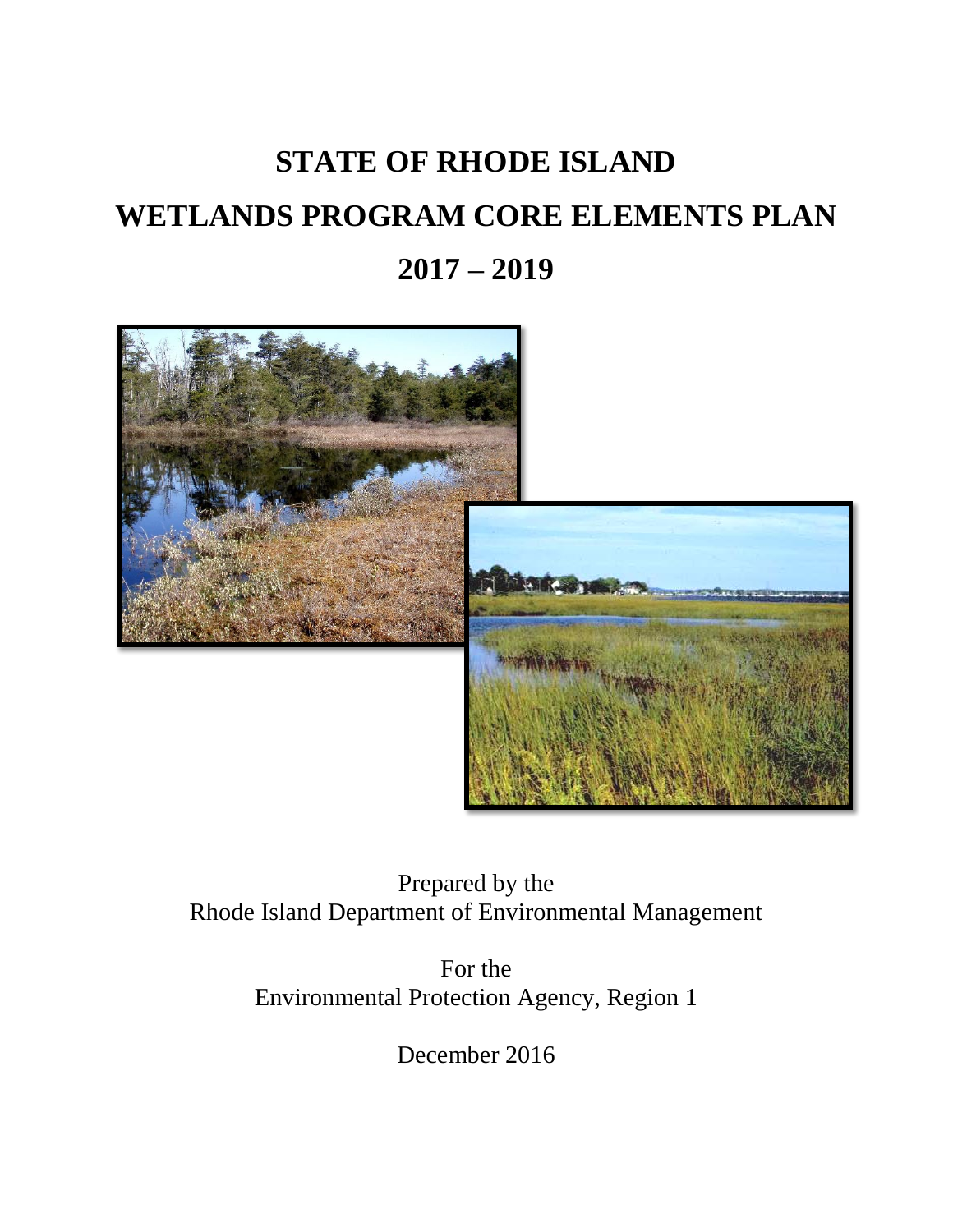## **STATE OF RHODE ISLAND WETLANDS PROGRAM CORE ELEMENTS PLAN 2017 – 2019**



Prepared by the Rhode Island Department of Environmental Management

> For the Environmental Protection Agency, Region 1

> > December 2016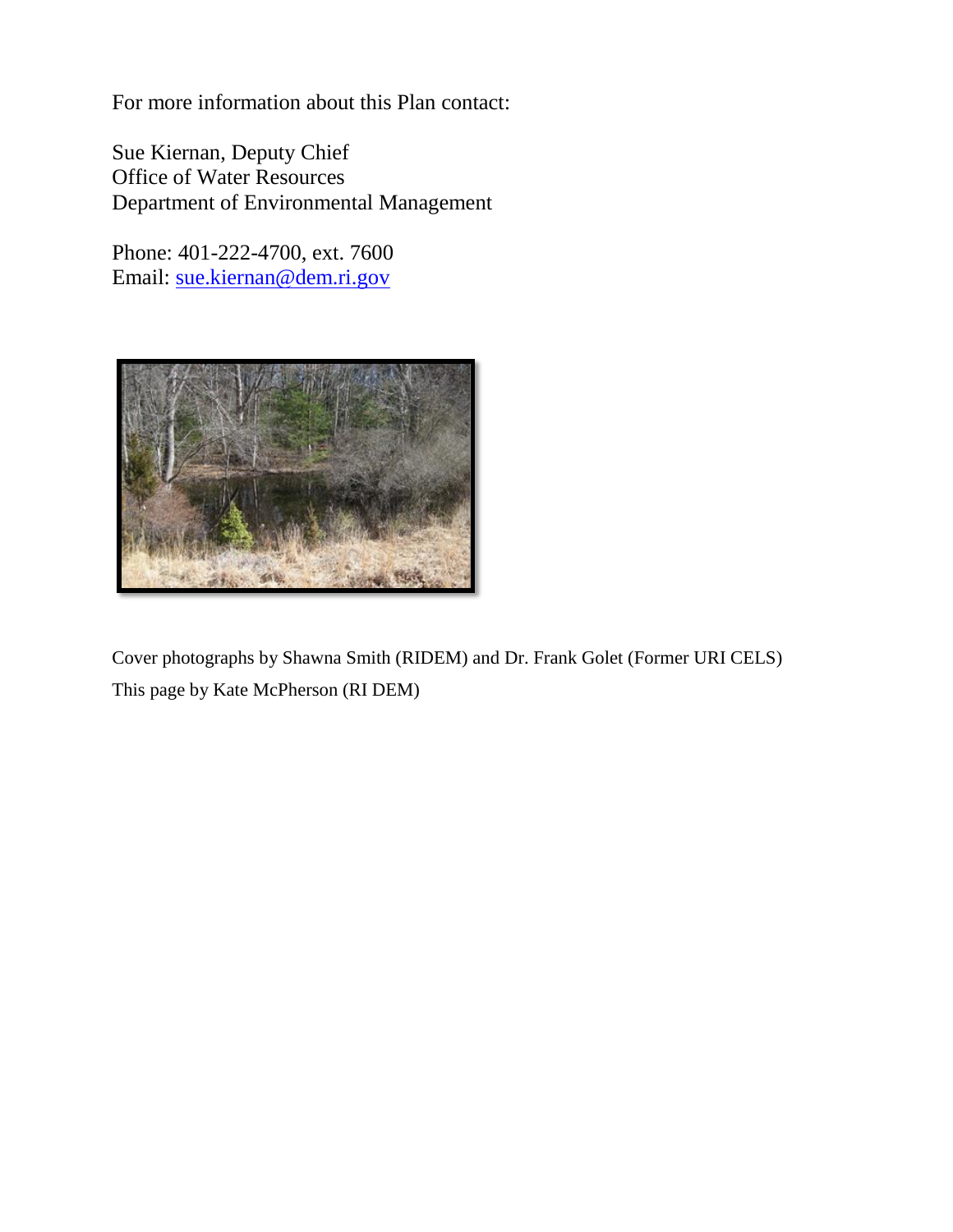For more information about this Plan contact:

Sue Kiernan, Deputy Chief Office of Water Resources Department of Environmental Management

Phone: 401-222-4700, ext. 7600 Email: [sue.kiernan@dem.ri.gov](mailto:sue.kiernan@dem.ri.gov)



Cover photographs by Shawna Smith (RIDEM) and Dr. Frank Golet (Former URI CELS) This page by Kate McPherson (RI DEM)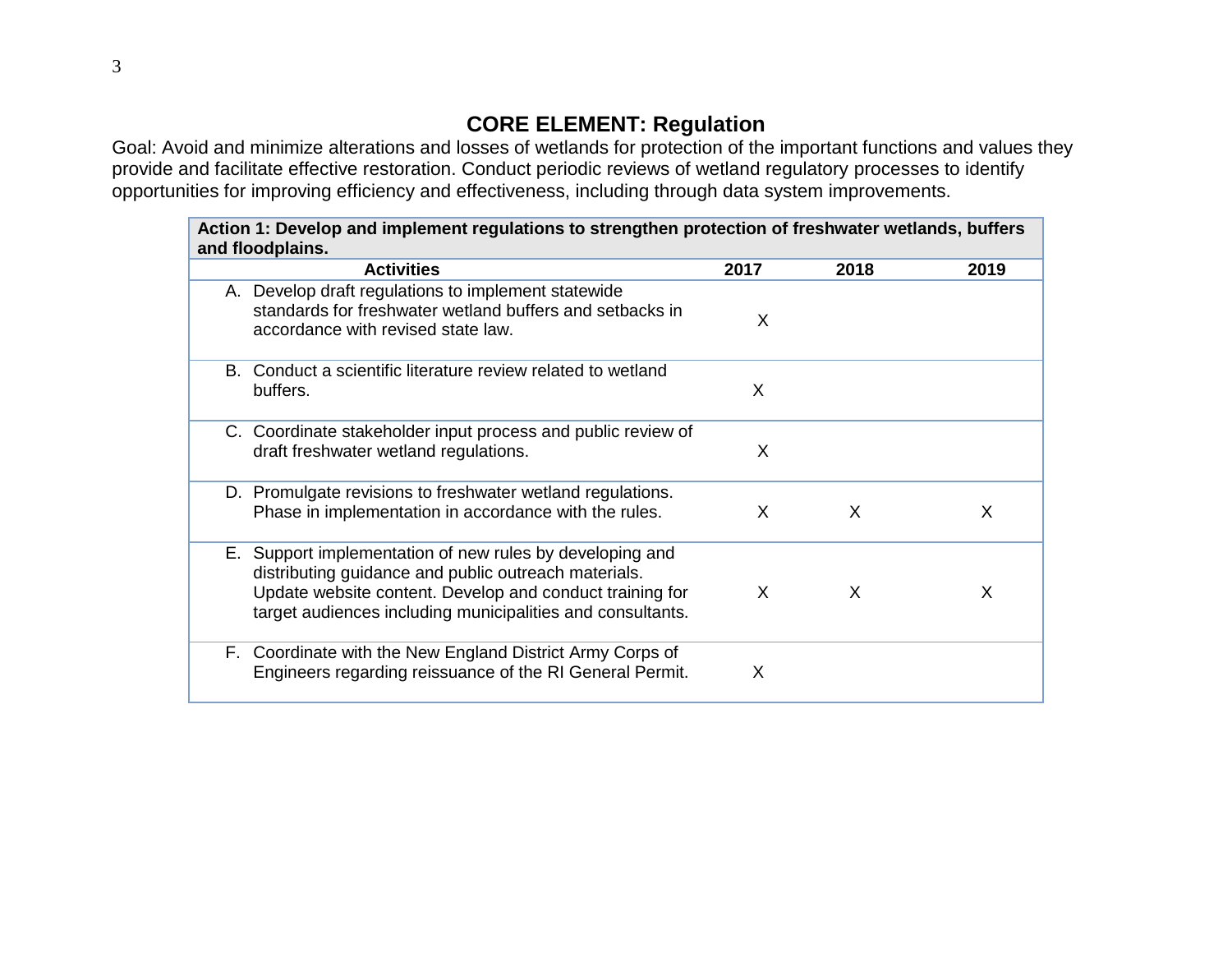## **CORE ELEMENT: Regulation**

Goal: Avoid and minimize alterations and losses of wetlands for protection of the important functions and values they provide and facilitate effective restoration. Conduct periodic reviews of wetland regulatory processes to identify opportunities for improving efficiency and effectiveness, including through data system improvements.

| Action 1: Develop and implement regulations to strengthen protection of freshwater wetlands, buffers<br>and floodplains. |                                                                                                                                                                                                                                            |              |          |      |
|--------------------------------------------------------------------------------------------------------------------------|--------------------------------------------------------------------------------------------------------------------------------------------------------------------------------------------------------------------------------------------|--------------|----------|------|
|                                                                                                                          | <b>Activities</b>                                                                                                                                                                                                                          | 2017         | 2018     | 2019 |
|                                                                                                                          | A. Develop draft regulations to implement statewide<br>standards for freshwater wetland buffers and setbacks in<br>accordance with revised state law.                                                                                      | X            |          |      |
|                                                                                                                          | B. Conduct a scientific literature review related to wetland<br>buffers.                                                                                                                                                                   | X            |          |      |
|                                                                                                                          | C. Coordinate stakeholder input process and public review of<br>draft freshwater wetland regulations.                                                                                                                                      | X            |          |      |
|                                                                                                                          | D. Promulgate revisions to freshwater wetland regulations.<br>Phase in implementation in accordance with the rules.                                                                                                                        | X            | $\times$ | X    |
|                                                                                                                          | E. Support implementation of new rules by developing and<br>distributing guidance and public outreach materials.<br>Update website content. Develop and conduct training for<br>target audiences including municipalities and consultants. | $\mathsf{X}$ | X        | X    |
|                                                                                                                          | F. Coordinate with the New England District Army Corps of<br>Engineers regarding reissuance of the RI General Permit.                                                                                                                      | X            |          |      |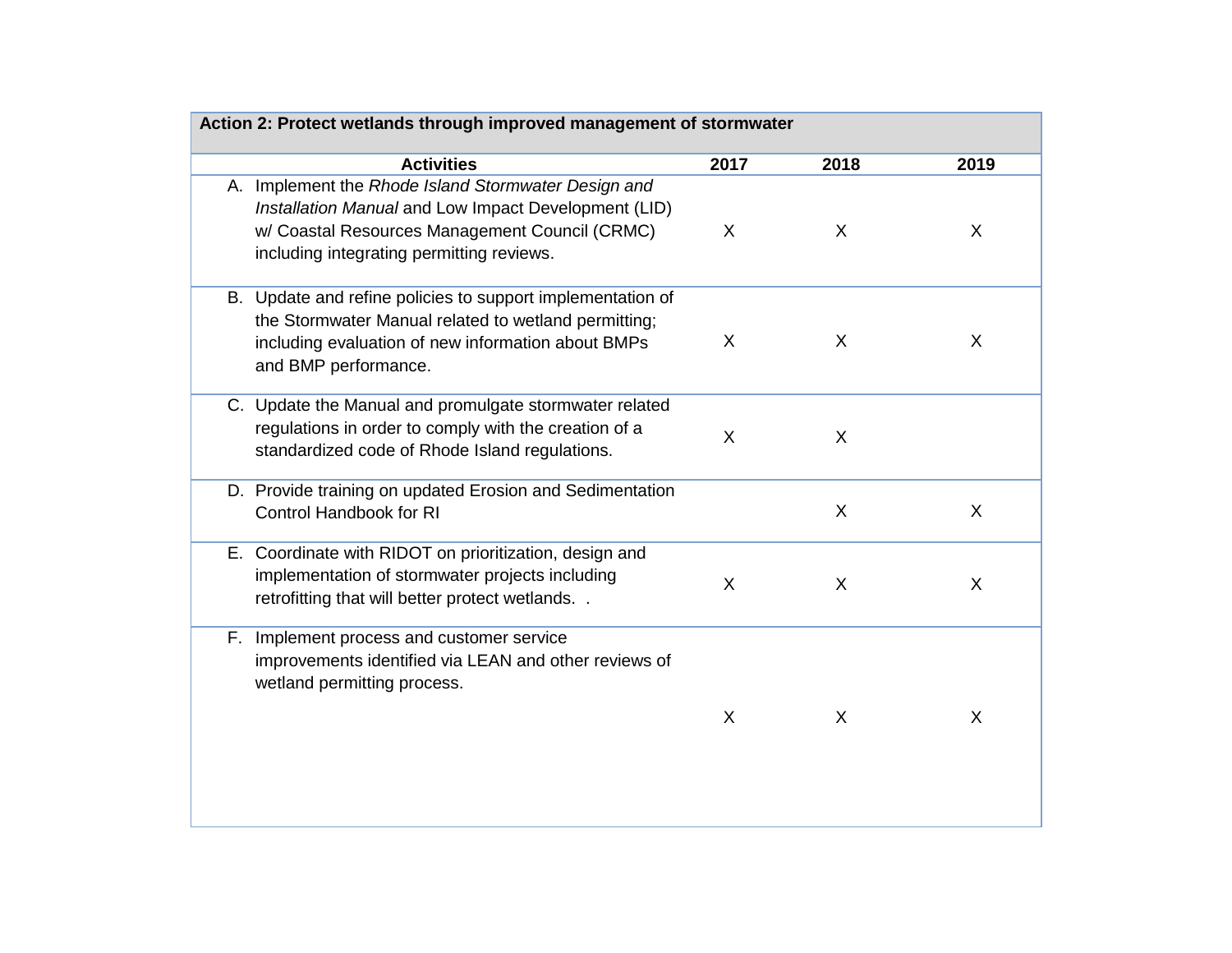| Action 2: Protect wetlands through improved management of stormwater |                                                                                                                                                                                                            |              |              |      |
|----------------------------------------------------------------------|------------------------------------------------------------------------------------------------------------------------------------------------------------------------------------------------------------|--------------|--------------|------|
|                                                                      | <b>Activities</b>                                                                                                                                                                                          | 2017         | 2018         | 2019 |
|                                                                      | A. Implement the Rhode Island Stormwater Design and<br>Installation Manual and Low Impact Development (LID)<br>w/ Coastal Resources Management Council (CRMC)<br>including integrating permitting reviews. | X            | X            | X    |
|                                                                      | B. Update and refine policies to support implementation of<br>the Stormwater Manual related to wetland permitting;<br>including evaluation of new information about BMPs<br>and BMP performance.           | X            | X            | X    |
|                                                                      | C. Update the Manual and promulgate stormwater related<br>regulations in order to comply with the creation of a<br>standardized code of Rhode Island regulations.                                          | X            | X            |      |
|                                                                      | D. Provide training on updated Erosion and Sedimentation<br><b>Control Handbook for RI</b>                                                                                                                 |              | X            | X    |
|                                                                      | E. Coordinate with RIDOT on prioritization, design and<br>implementation of stormwater projects including<br>retrofitting that will better protect wetlands                                                | X            | X            | X    |
| F.                                                                   | Implement process and customer service<br>improvements identified via LEAN and other reviews of<br>wetland permitting process.                                                                             |              |              |      |
|                                                                      |                                                                                                                                                                                                            | $\mathsf{X}$ | $\mathsf{X}$ | X    |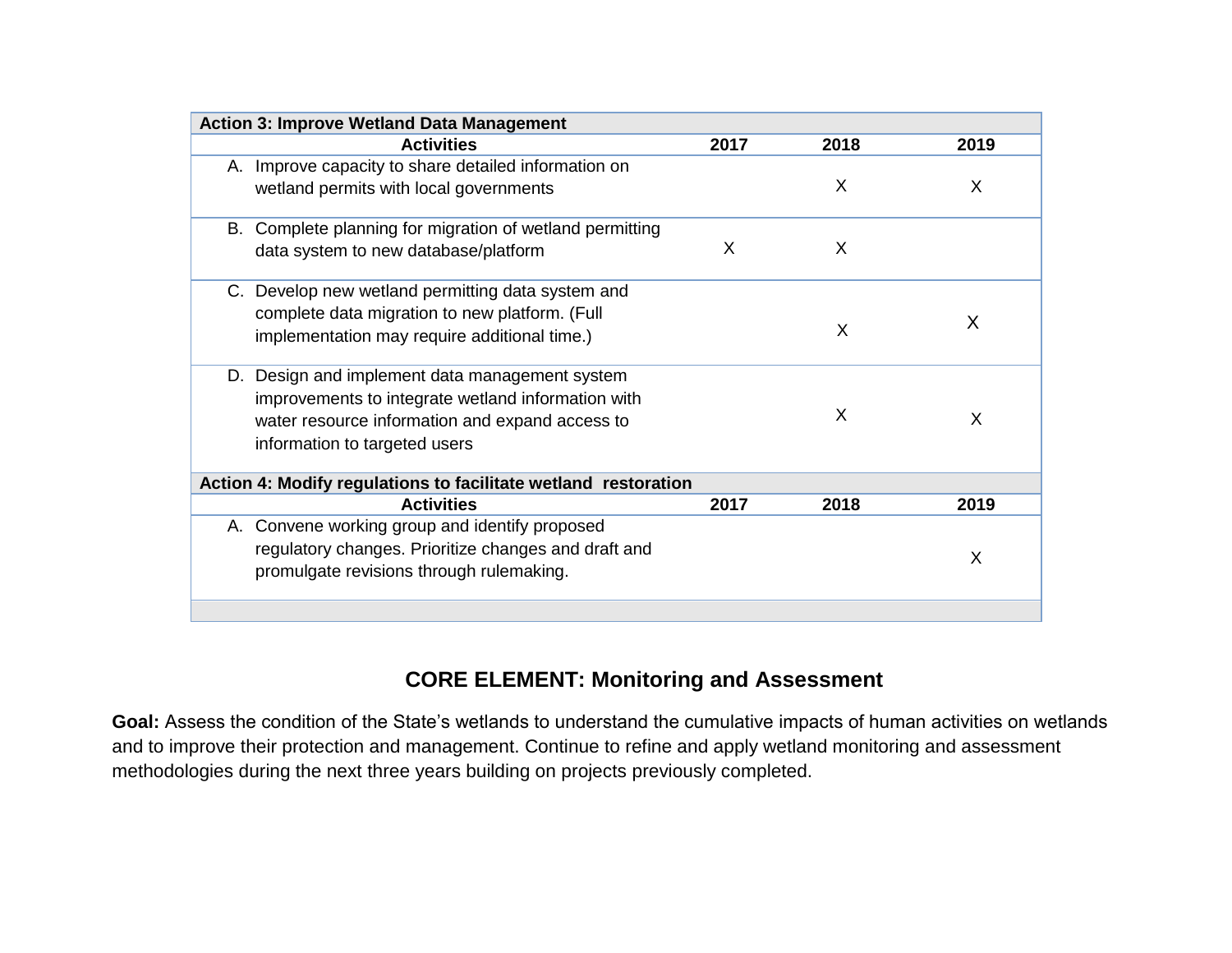| <b>Action 3: Improve Wetland Data Management</b>               |      |      |      |
|----------------------------------------------------------------|------|------|------|
| <b>Activities</b>                                              | 2017 | 2018 | 2019 |
| A. Improve capacity to share detailed information on           |      |      |      |
| wetland permits with local governments                         |      | X    | X    |
| B. Complete planning for migration of wetland permitting       |      |      |      |
| data system to new database/platform                           | X    | X    |      |
| C. Develop new wetland permitting data system and              |      |      |      |
| complete data migration to new platform. (Full                 |      |      | X    |
| implementation may require additional time.)                   |      | X    |      |
| D. Design and implement data management system                 |      |      |      |
| improvements to integrate wetland information with             |      |      |      |
| water resource information and expand access to                |      | X    | X    |
| information to targeted users                                  |      |      |      |
| Action 4: Modify regulations to facilitate wetland restoration |      |      |      |
| <b>Activities</b>                                              | 2017 | 2018 | 2019 |
| A. Convene working group and identify proposed                 |      |      |      |
| regulatory changes. Prioritize changes and draft and           |      |      | X    |
| promulgate revisions through rulemaking.                       |      |      |      |
|                                                                |      |      |      |

## **CORE ELEMENT: Monitoring and Assessment**

**Goal:** Assess the condition of the State's wetlands to understand the cumulative impacts of human activities on wetlands and to improve their protection and management. Continue to refine and apply wetland monitoring and assessment methodologies during the next three years building on projects previously completed.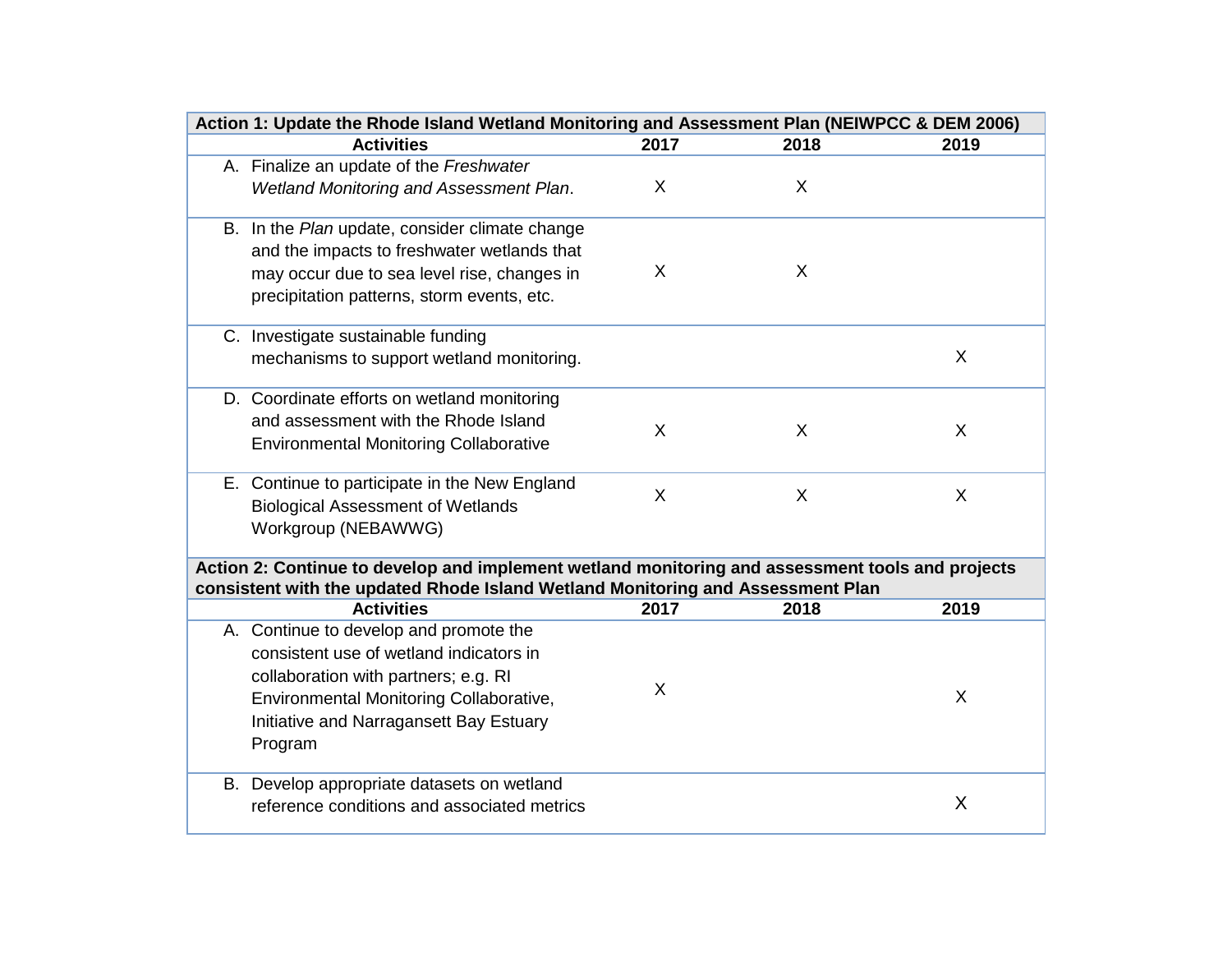| Action 1: Update the Rhode Island Wetland Monitoring and Assessment Plan (NEIWPCC & DEM 2006)    |         |      |      |
|--------------------------------------------------------------------------------------------------|---------|------|------|
| <b>Activities</b>                                                                                | 2017    | 2018 | 2019 |
| A. Finalize an update of the Freshwater                                                          |         |      |      |
| <b>Wetland Monitoring and Assessment Plan.</b>                                                   | $\sf X$ | X    |      |
| B. In the Plan update, consider climate change                                                   |         |      |      |
| and the impacts to freshwater wetlands that                                                      |         |      |      |
| may occur due to sea level rise, changes in                                                      | X       | X    |      |
| precipitation patterns, storm events, etc.                                                       |         |      |      |
|                                                                                                  |         |      |      |
| C. Investigate sustainable funding                                                               |         |      |      |
| mechanisms to support wetland monitoring.                                                        |         |      | X    |
| D. Coordinate efforts on wetland monitoring                                                      |         |      |      |
| and assessment with the Rhode Island                                                             | $\sf X$ |      | X    |
| <b>Environmental Monitoring Collaborative</b>                                                    |         | X    |      |
|                                                                                                  |         |      |      |
| E. Continue to participate in the New England                                                    | $\sf X$ | X    | X    |
| <b>Biological Assessment of Wetlands</b>                                                         |         |      |      |
| Workgroup (NEBAWWG)                                                                              |         |      |      |
| Action 2: Continue to develop and implement wetland monitoring and assessment tools and projects |         |      |      |
| consistent with the updated Rhode Island Wetland Monitoring and Assessment Plan                  |         |      |      |
| <b>Activities</b>                                                                                | 2017    | 2018 | 2019 |
| A. Continue to develop and promote the<br>consistent use of wetland indicators in                |         |      |      |
|                                                                                                  |         |      |      |
| collaboration with partners; e.g. RI                                                             | X       |      | X    |
| <b>Environmental Monitoring Collaborative,</b>                                                   |         |      |      |
| Initiative and Narragansett Bay Estuary                                                          |         |      |      |
| Program                                                                                          |         |      |      |
| B. Develop appropriate datasets on wetland                                                       |         |      |      |
| reference conditions and associated metrics                                                      |         |      | X    |
|                                                                                                  |         |      |      |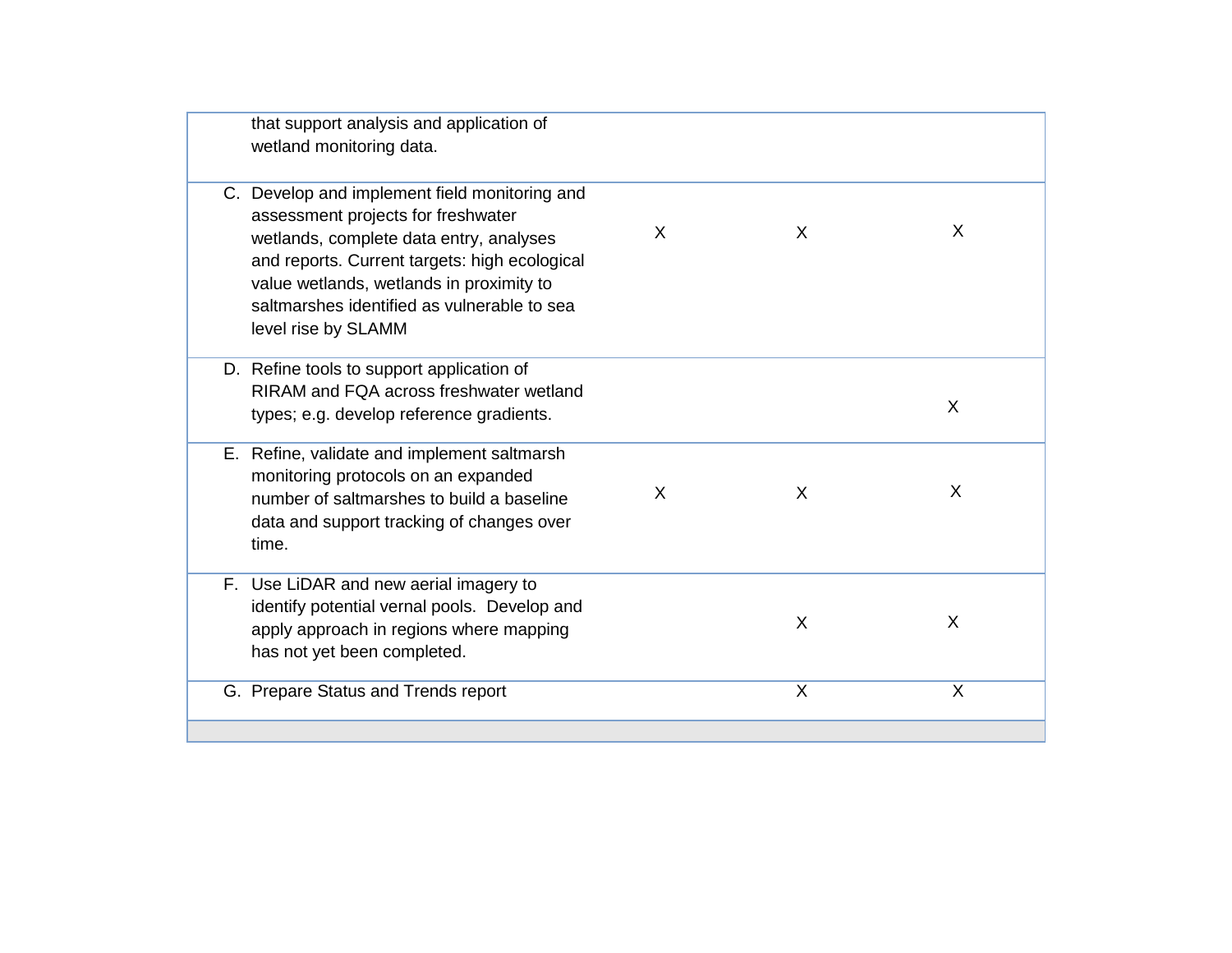| that support analysis and application of<br>wetland monitoring data.                                                                                                                                                                                                                              |   |   |   |
|---------------------------------------------------------------------------------------------------------------------------------------------------------------------------------------------------------------------------------------------------------------------------------------------------|---|---|---|
| C. Develop and implement field monitoring and<br>assessment projects for freshwater<br>wetlands, complete data entry, analyses<br>and reports. Current targets: high ecological<br>value wetlands, wetlands in proximity to<br>saltmarshes identified as vulnerable to sea<br>level rise by SLAMM | X | X | X |
| D. Refine tools to support application of<br>RIRAM and FQA across freshwater wetland<br>types; e.g. develop reference gradients.                                                                                                                                                                  |   |   | X |
| E. Refine, validate and implement saltmarsh<br>monitoring protocols on an expanded<br>number of saltmarshes to build a baseline<br>data and support tracking of changes over<br>time.                                                                                                             | X | X | X |
| F. Use LiDAR and new aerial imagery to<br>identify potential vernal pools. Develop and<br>apply approach in regions where mapping<br>has not yet been completed.                                                                                                                                  |   | X | X |
| G. Prepare Status and Trends report                                                                                                                                                                                                                                                               |   | X | X |
|                                                                                                                                                                                                                                                                                                   |   |   |   |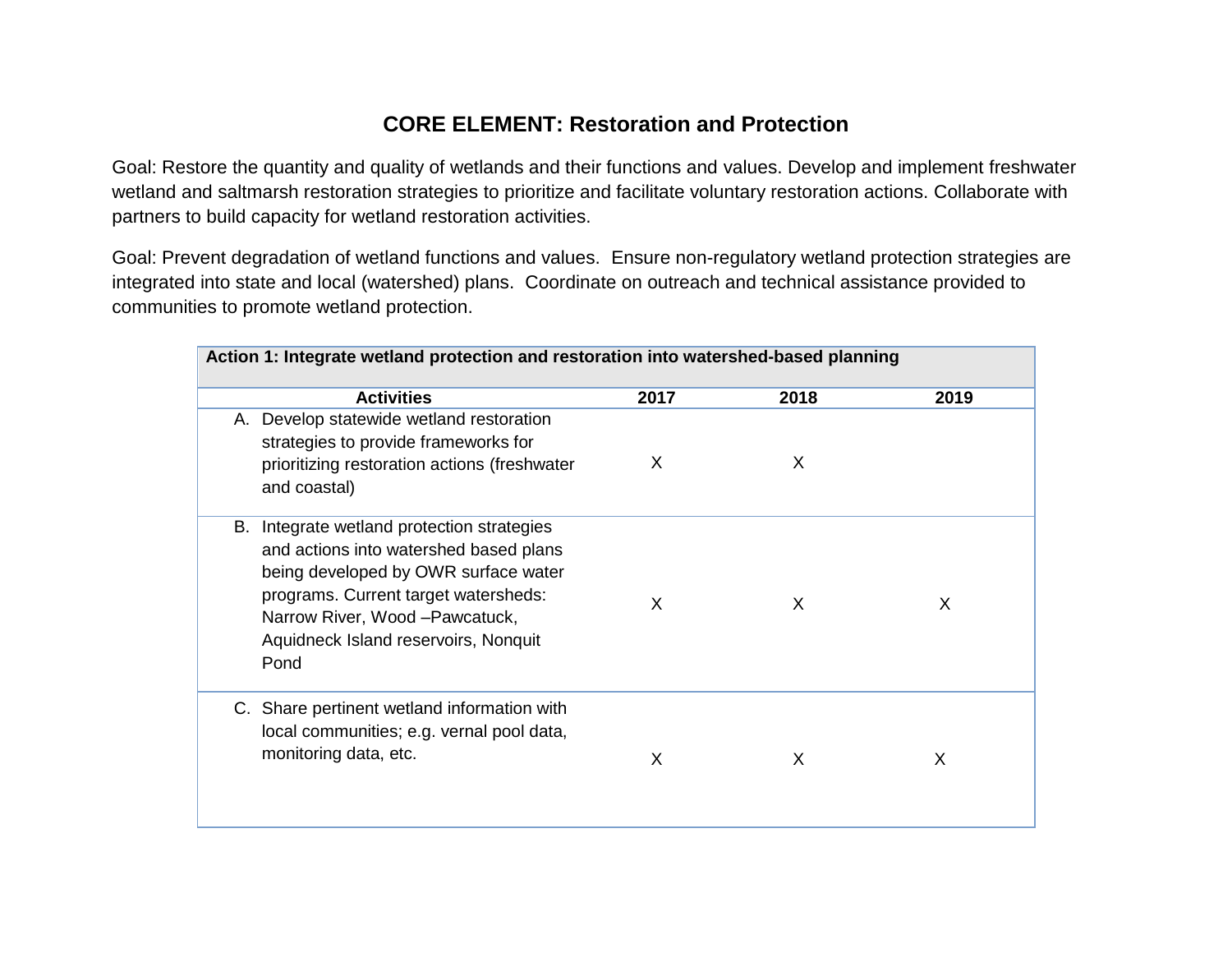## **CORE ELEMENT: Restoration and Protection**

Goal: Restore the quantity and quality of wetlands and their functions and values. Develop and implement freshwater wetland and saltmarsh restoration strategies to prioritize and facilitate voluntary restoration actions. Collaborate with partners to build capacity for wetland restoration activities.

Goal: Prevent degradation of wetland functions and values. Ensure non-regulatory wetland protection strategies are integrated into state and local (watershed) plans. Coordinate on outreach and technical assistance provided to communities to promote wetland protection.

| Action 1: Integrate wetland protection and restoration into watershed-based planning                                                                                                                                                                       |      |      |      |  |
|------------------------------------------------------------------------------------------------------------------------------------------------------------------------------------------------------------------------------------------------------------|------|------|------|--|
| <b>Activities</b>                                                                                                                                                                                                                                          | 2017 | 2018 | 2019 |  |
| A. Develop statewide wetland restoration<br>strategies to provide frameworks for<br>prioritizing restoration actions (freshwater<br>and coastal)                                                                                                           | X    | X    |      |  |
| Integrate wetland protection strategies<br>В.<br>and actions into watershed based plans<br>being developed by OWR surface water<br>programs. Current target watersheds:<br>Narrow River, Wood - Pawcatuck,<br>Aquidneck Island reservoirs, Nonquit<br>Pond | X    | X    | X    |  |
| C. Share pertinent wetland information with<br>local communities; e.g. vernal pool data,<br>monitoring data, etc.                                                                                                                                          | X    | X    | X    |  |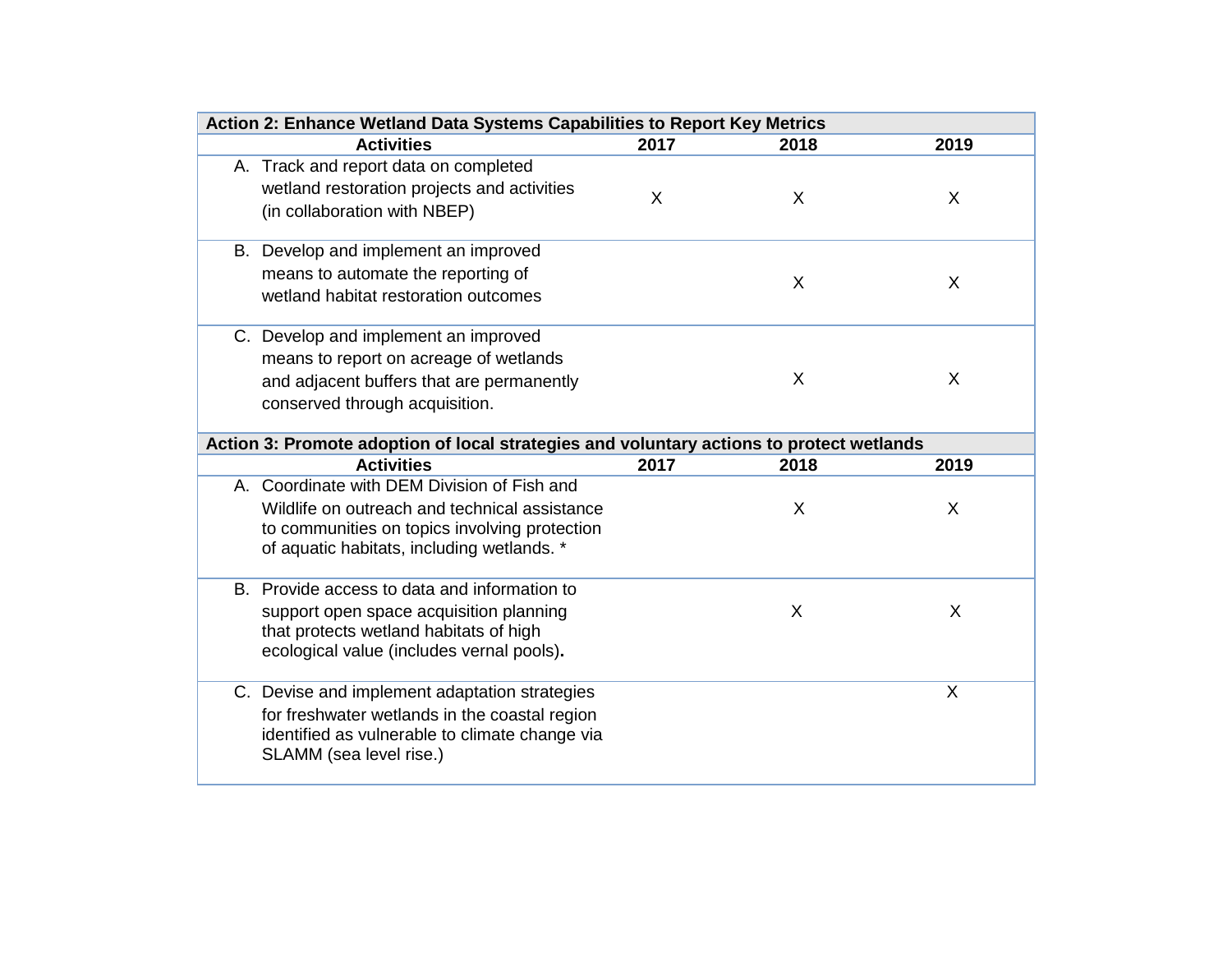| Action 2: Enhance Wetland Data Systems Capabilities to Report Key Metrics |                                                                                                                                                                                             |      |      |      |  |
|---------------------------------------------------------------------------|---------------------------------------------------------------------------------------------------------------------------------------------------------------------------------------------|------|------|------|--|
|                                                                           | <b>Activities</b>                                                                                                                                                                           | 2017 | 2018 | 2019 |  |
|                                                                           | A. Track and report data on completed<br>wetland restoration projects and activities<br>(in collaboration with NBEP)                                                                        | X    | X    | X    |  |
|                                                                           | B. Develop and implement an improved<br>means to automate the reporting of<br>wetland habitat restoration outcomes                                                                          |      | X    | X    |  |
|                                                                           | C. Develop and implement an improved<br>means to report on acreage of wetlands<br>and adjacent buffers that are permanently<br>conserved through acquisition.                               |      | X    | X    |  |
|                                                                           | Action 3: Promote adoption of local strategies and voluntary actions to protect wetlands                                                                                                    |      |      |      |  |
|                                                                           | <b>Activities</b>                                                                                                                                                                           | 2017 | 2018 | 2019 |  |
|                                                                           | A. Coordinate with DEM Division of Fish and<br>Wildlife on outreach and technical assistance<br>to communities on topics involving protection<br>of aquatic habitats, including wetlands. * |      | X    | X    |  |
|                                                                           | B. Provide access to data and information to<br>support open space acquisition planning<br>that protects wetland habitats of high<br>ecological value (includes vernal pools).              |      | X    | X    |  |
|                                                                           | C. Devise and implement adaptation strategies<br>for freshwater wetlands in the coastal region<br>identified as vulnerable to climate change via<br>SLAMM (sea level rise.)                 |      |      | X    |  |